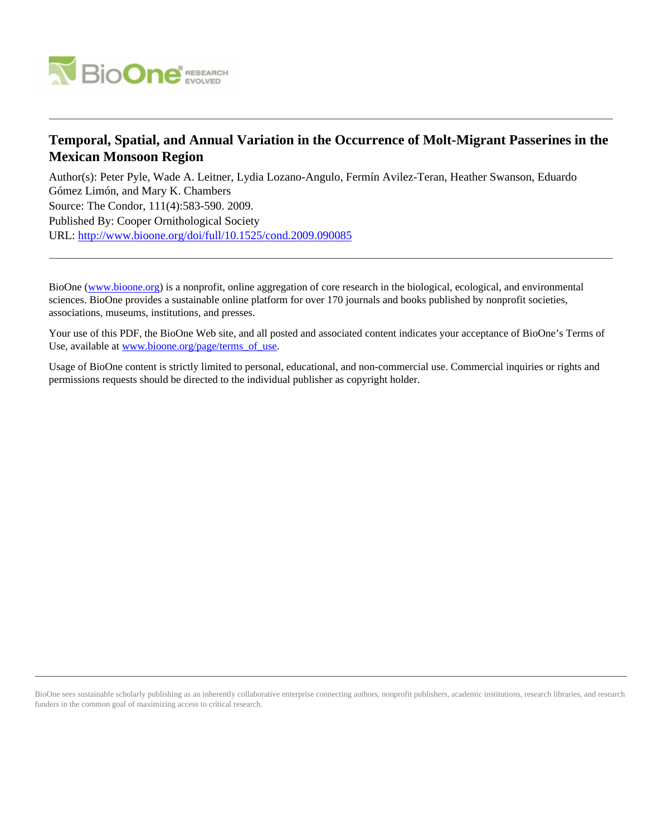

# **Temporal, Spatial, and Annual Variation in the Occurrence of Molt-Migrant Passerines in the Mexican Monsoon Region**

Author(s): Peter Pyle, Wade A. Leitner, Lydia Lozano-Angulo, Fermín Avilez-Teran, Heather Swanson, Eduardo Gómez Limón, and Mary K. Chambers Source: The Condor, 111(4):583-590. 2009. Published By: Cooper Ornithological Society URL: <http://www.bioone.org/doi/full/10.1525/cond.2009.090085>

BioOne [\(www.bioone.org\)](http://www.bioone.org) is a nonprofit, online aggregation of core research in the biological, ecological, and environmental sciences. BioOne provides a sustainable online platform for over 170 journals and books published by nonprofit societies, associations, museums, institutions, and presses.

Your use of this PDF, the BioOne Web site, and all posted and associated content indicates your acceptance of BioOne's Terms of Use, available at [www.bioone.org/page/terms\\_of\\_use](http://www.bioone.org/page/terms_of_use).

Usage of BioOne content is strictly limited to personal, educational, and non-commercial use. Commercial inquiries or rights and permissions requests should be directed to the individual publisher as copyright holder.

BioOne sees sustainable scholarly publishing as an inherently collaborative enterprise connecting authors, nonprofit publishers, academic institutions, research libraries, and research funders in the common goal of maximizing access to critical research.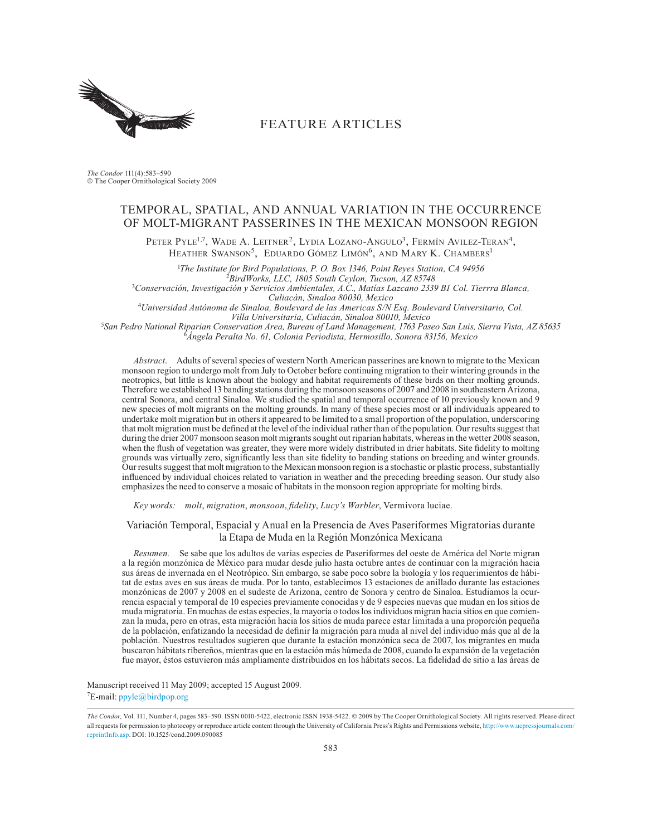

# FEATURE ARTICLES

*The Condor* 111(4):583–590 ¡The Cooper Ornithological Society 2009

# TEMPORAL, SPATIAL, AND ANNUAL VARIATION IN THE OCCURRENCE OF MOLT-MIGRANT PASSERINES IN THE MEXICAN MONSOON REGION

PETER PYLE<sup>1,7</sup>, WADE A. LEITNER<sup>2</sup>, LYDIA LOZANO-ANGULO<sup>3</sup>, FERMÍN AVILEZ-TERAN<sup>4</sup>, HEATHER SWANSON<sup>5</sup>, EDUARDO GÓMEZ LIMÓN<sup>6</sup>, AND MARY K. CHAMBERS<sup>1</sup>

<sup>1</sup>The Institute for Bird Populations, P. O. Box 1346, Point Reyes Station, CA 94956<sup>2</sup><br><sup>2</sup>RivdWorks, LLC, 1805 South Ceylon, Tucson, 47,85748 *BirdWorks, LLC, 1805 South Ceylon, Tucson, AZ 85748* <sup>3</sup> *Conservación, Investigación y Servicios Ambientales, A.C., Matías Lazcano 2339 B1 Col. Tierrra Blanca, Culiacán, Sinaloa 80030, Mexico* <sup>4</sup> *Universidad Autónoma de Sinaloa, Boulevard de las Americas S/N Esq. Boulevard Universitario, Col. Villa Universitaria, Culiacán, Sinaloa 80010, Mexico* <sup>5</sup> *San Pedro National Riparian Conservation Area, Bureau of Land Management, 1763 Paseo San Luis, Sierra Vista, AZ 85635* <sup>6</sup> *Ángela Peralta No. 61, Colonia Periodista, Hermosillo, Sonora 83156, Mexico*

*Abstract*. Adults of several species of western North American passerines are known to migrate to the Mexican monsoon region to undergo molt from July to October before continuing migration to their wintering grounds in the neotropics, but little is known about the biology and habitat requirements of these birds on their molting grounds. Therefore we established 13 banding stations during the monsoon seasons of 2007 and 2008 in southeastern Arizona, central Sonora, and central Sinaloa. We studied the spatial and temporal occurrence of 10 previously known and 9 new species of molt migrants on the molting grounds. In many of these species most or all individuals appeared to undertake molt migration but in others it appeared to be limited to a small proportion of the population, underscoring that molt migration must be defined at the level of the individual rather than of the population. Our results suggest that during the drier 2007 monsoon season molt migrants sought out riparian habitats, whereas in the wetter 2008 season, when the flush of vegetation was greater, they were more widely distributed in drier habitats. Site fidelity to molting grounds was virtually zero, significantly less than site fidelity to banding stations on breeding and winter grounds. Our results suggest that molt migration to the Mexican monsoon region is a stochastic or plastic process, substantially influenced by individual choices related to variation in weather and the preceding breeding season. Our study also emphasizes the need to conserve a mosaic of habitats in the monsoon region appropriate for molting birds.

*Key words: molt*, *migration*, *monsoon*, *fidelity*, *Lucy's Warbler*, Vermivora luciae.

Variación Temporal, Espacial y Anual en la Presencia de Aves Paseriformes Migratorias durante la Etapa de Muda en la Región Monzónica Mexicana

*Resumen.* Se sabe que los adultos de varias especies de Paseriformes del oeste de América del Norte migran a la región monzónica de México para mudar desde julio hasta octubre antes de continuar con la migración hacia sus áreas de invernada en el Neotrópico. Sin embargo, se sabe poco sobre la biología y los requerimientos de hábitat de estas aves en sus áreas de muda. Por lo tanto, establecimos 13 estaciones de anillado durante las estaciones monzónicas de 2007 y 2008 en el sudeste de Arizona, centro de Sonora y centro de Sinaloa. Estudiamos la ocurrencia espacial y temporal de 10 especies previamente conocidas y de 9 especies nuevas que mudan en los sitios de muda migratoria. En muchas de estas especies, la mayoría o todos los individuos migran hacia sitios en que comienzan la muda, pero en otras, esta migración hacia los sitios de muda parece estar limitada a una proporción pequeña de la población, enfatizando la necesidad de definir la migración para muda al nivel del individuo más que al de la población. Nuestros resultados sugieren que durante la estación monzónica seca de 2007, los migrantes en muda buscaron hábitats ribereños, mientras que en la estación más húmeda de 2008, cuando la expansión de la vegetación fue mayor, éstos estuvieron más ampliamente distribuidos en los hábitats secos. La fidelidad de sitio a las áreas de

 $^7E$ -mail: ppyle@birdpop.org Manuscript received 11 May 2009; accepted 15 August 2009.

*The Condor,* Vol. 111, Number 4, pages 583–590. ISSN 0010-5422, electronic ISSN 1938-5422. 2009 by The Cooper Ornithological Society. All rights reserved. Please direct all requests for permission to photocopy or reproduce article content through the University of California Press's Rights and Permissions website, http://www.ucpressjournals.com/ reprintInfo.asp. DOI: 10.1525/cond.2009.090085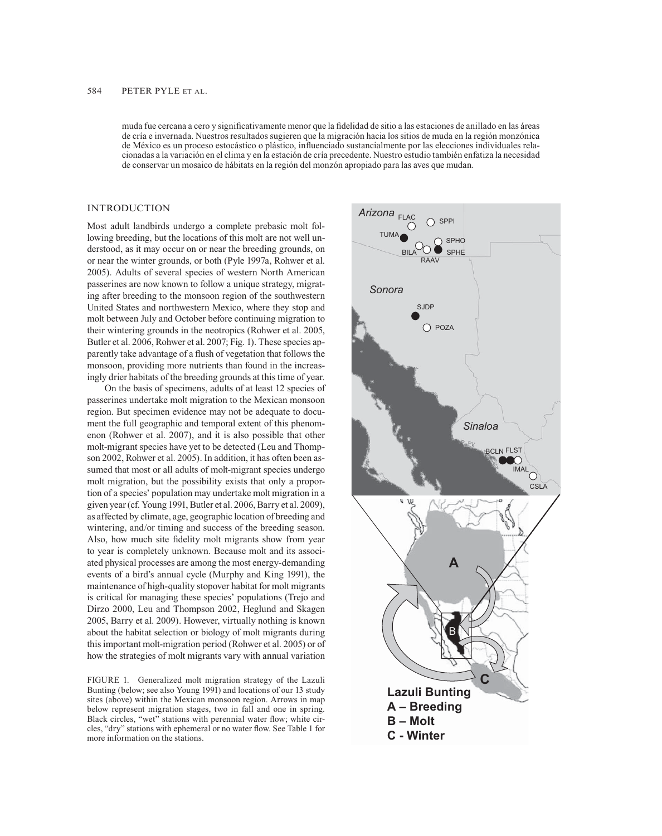muda fue cercana a cero y significativamente menor que la fidelidad de sitio a las estaciones de anillado en las áreas de cría e invernada. Nuestros resultados sugieren que la migración hacia los sitios de muda en la región monzónica de México es un proceso estocástico o plástico, influenciado sustancialmente por las elecciones individuales relacionadas a la variación en el clima y en la estación de cría precedente. Nuestro estudio también enfatiza la necesidad de conservar un mosaico de hábitats en la región del monzón apropiado para las aves que mudan.

### INTRODUCTION

Most adult landbirds undergo a complete prebasic molt following breeding, but the locations of this molt are not well understood, as it may occur on or near the breeding grounds, on or near the winter grounds, or both (Pyle 1997a, Rohwer et al. 2005). Adults of several species of western North American passerines are now known to follow a unique strategy, migrating after breeding to the monsoon region of the southwestern United States and northwestern Mexico, where they stop and molt between July and October before continuing migration to their wintering grounds in the neotropics (Rohwer et al. 2005, Butler et al. 2006, Rohwer et al. 2007; Fig. 1). These species apparently take advantage of a flush of vegetation that follows the monsoon, providing more nutrients than found in the increasingly drier habitats of the breeding grounds at this time of year.

On the basis of specimens, adults of at least 12 species of passerines undertake molt migration to the Mexican monsoon region. But specimen evidence may not be adequate to document the full geographic and temporal extent of this phenomenon (Rohwer et al. 2007), and it is also possible that other molt-migrant species have yet to be detected (Leu and Thompson 2002, Rohwer et al. 2005). In addition, it has often been assumed that most or all adults of molt-migrant species undergo molt migration, but the possibility exists that only a proportion of a species' population may undertake molt migration in a given year (cf. Young 1991, Butler et al. 2006, Barry et al. 2009), as affected by climate, age, geographic location of breeding and wintering, and/or timing and success of the breeding season. Also, how much site fidelity molt migrants show from year to year is completely unknown. Because molt and its associated physical processes are among the most energy-demanding events of a bird's annual cycle (Murphy and King 1991), the maintenance of high-quality stopover habitat for molt migrants is critical for managing these species' populations (Trejo and Dirzo 2000, Leu and Thompson 2002, Heglund and Skagen 2005, Barry et al. 2009). However, virtually nothing is known about the habitat selection or biology of molt migrants during this important molt-migration period (Rohwer et al. 2005) or of how the strategies of molt migrants vary with annual variation

FIGURE 1. Generalized molt migration strategy of the Lazuli Bunting (below; see also Young 1991) and locations of our 13 study sites (above) within the Mexican monsoon region. Arrows in map below represent migration stages, two in fall and one in spring. Black circles, "wet" stations with perennial water flow; white circles, "dry" stations with ephemeral or no water flow. See Table 1 for more information on the stations.

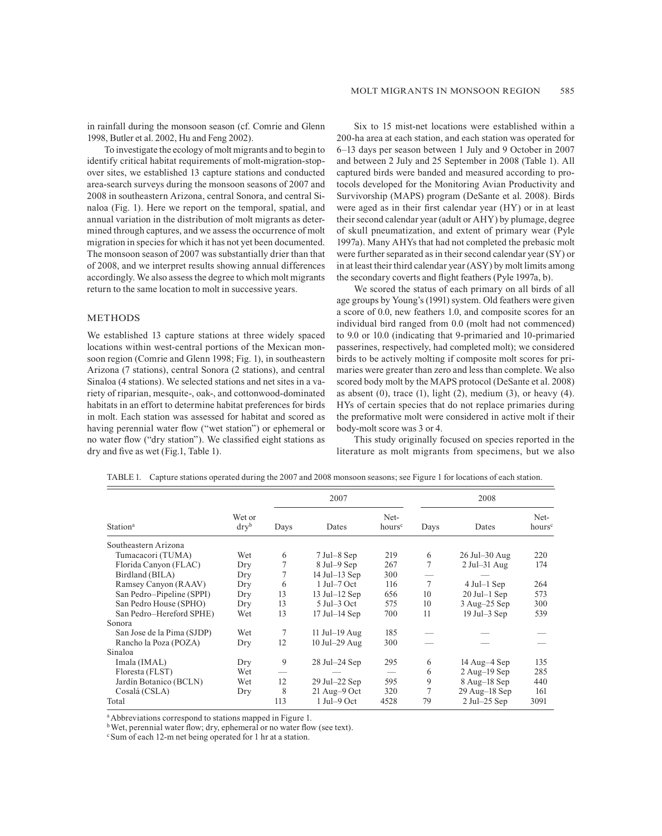in rainfall during the monsoon season (cf. Comrie and Glenn 1998, Butler et al. 2002, Hu and Feng 2002).

To investigate the ecology of molt migrants and to begin to identify critical habitat requirements of molt-migration-stopover sites, we established 13 capture stations and conducted area-search surveys during the monsoon seasons of 2007 and 2008 in southeastern Arizona, central Sonora, and central Sinaloa (Fig. 1). Here we report on the temporal, spatial, and annual variation in the distribution of molt migrants as determined through captures, and we assess the occurrence of molt migration in species for which it has not yet been documented. The monsoon season of 2007 was substantially drier than that of 2008, and we interpret results showing annual differences accordingly. We also assess the degree to which molt migrants return to the same location to molt in successive years.

# METHODS

We established 13 capture stations at three widely spaced locations within west-central portions of the Mexican monsoon region (Comrie and Glenn 1998; Fig. 1), in southeastern Arizona (7 stations), central Sonora (2 stations), and central Sinaloa (4 stations). We selected stations and net sites in a variety of riparian, mesquite-, oak-, and cottonwood-dominated habitats in an effort to determine habitat preferences for birds in molt. Each station was assessed for habitat and scored as having perennial water flow ("wet station") or ephemeral or no water flow ("dry station"). We classified eight stations as dry and five as wet (Fig.1, Table 1).

Six to 15 mist-net locations were established within a 200-ha area at each station, and each station was operated for 6–13 days per season between 1 July and 9 October in 2007 and between 2 July and 25 September in 2008 (Table 1). All captured birds were banded and measured according to protocols developed for the Monitoring Avian Productivity and Survivorship (MAPS) program (DeSante et al. 2008). Birds were aged as in their first calendar year (HY) or in at least their second calendar year (adult or AHY) by plumage, degree of skull pneumatization, and extent of primary wear (Pyle 1997a). Many AHYs that had not completed the prebasic molt were further separated as in their second calendar year (SY) or in at least their third calendar year (ASY) by molt limits among the secondary coverts and flight feathers (Pyle 1997a, b).

We scored the status of each primary on all birds of all age groups by Young's (1991) system. Old feathers were given a score of 0.0, new feathers 1.0, and composite scores for an individual bird ranged from 0.0 (molt had not commenced) to 9.0 or 10.0 (indicating that 9-primaried and 10-primaried passerines, respectively, had completed molt); we considered birds to be actively molting if composite molt scores for primaries were greater than zero and less than complete. We also scored body molt by the MAPS protocol (DeSante et al. 2008) as absent  $(0)$ , trace  $(1)$ , light  $(2)$ , medium  $(3)$ , or heavy  $(4)$ . HYs of certain species that do not replace primaries during the preformative molt were considered in active molt if their body-molt score was 3 or 4.

This study originally focused on species reported in the literature as molt migrants from specimens, but we also

|                            |                         | 2007 |                                 |                            | 2008 |                                  |                            |
|----------------------------|-------------------------|------|---------------------------------|----------------------------|------|----------------------------------|----------------------------|
| Station <sup>a</sup>       | Wet or<br>$\rm{d}r v^b$ | Days | Dates                           | Net-<br>hours <sup>c</sup> | Days | Dates                            | Net-<br>hours <sup>c</sup> |
| Southeastern Arizona       |                         |      |                                 |                            |      |                                  |                            |
| Tumacacori (TUMA)          | Wet                     | 6    | $7 \text{ Jul} - 8 \text{ Sep}$ | 219                        | 6    | $26$ Jul $-30$ Aug               | 220                        |
| Florida Canyon (FLAC)      | Dry                     |      | 8 Jul–9 Sep                     | 267                        |      | $2$ Jul-31 Aug                   | 174                        |
| Birdland (BILA)            | Dry                     |      | $14$ Jul $-13$ Sep              | 300                        |      |                                  |                            |
| Ramsey Canyon (RAAV)       | Dry                     | 6    | $1$ Jul $-7$ Oct                | 116                        | 7    | $4$ Jul-1 Sep                    | 264                        |
| San Pedro-Pipeline (SPPI)  | Dry                     | 13   | $13$ Jul $-12$ Sep              | 656                        | 10   | $20$ Jul-1 Sep                   | 573                        |
| San Pedro House (SPHO)     | Dry                     | 13   | $5 \text{ Jul} - 3 \text{ Oct}$ | 575                        | 10   | $3$ Aug-25 Sep                   | 300                        |
| San Pedro-Hereford SPHE)   | Wet                     | 13   | $17$ Jul $-14$ Sep              | 700                        | 11   | $19 \text{ Jul} - 3 \text{ Sep}$ | 539                        |
| Sonora                     |                         |      |                                 |                            |      |                                  |                            |
| San Jose de la Pima (SJDP) | Wet                     | 7    | $11$ Jul-19 Aug                 | 185                        |      |                                  |                            |
| Rancho la Poza (POZA)      | Dry                     | 12   | 10 Jul-29 Aug                   | 300                        |      |                                  |                            |
| Sinaloa                    |                         |      |                                 |                            |      |                                  |                            |
| Imala (IMAL)               | Dry                     | 9    | $28$ Jul $-24$ Sep              | 295                        | 6    | $14$ Aug $-4$ Sep                | 135                        |
| Floresta (FLST)            | Wet                     |      |                                 |                            | 6    | $2$ Aug-19 Sep                   | 285                        |
| Jardín Botanico (BCLN)     | Wet                     | 12   | $29$ Jul $-22$ Sep              | 595                        | 9    | 8 Aug-18 Sep                     | 440                        |
| Cosalá (CSLA)              | Dry                     | 8    | 21 Aug-9 Oct                    | 320                        |      | $29$ Aug-18 Sep                  | 161                        |
| Total                      |                         | 113  | $1$ Jul-9 Oct                   | 4528                       | 79   | $2$ Jul $-25$ Sep                | 3091                       |

TABLE 1. Capture stations operated during the 2007 and 2008 monsoon seasons; see Figure 1 for locations of each station.

<sup>a</sup> Abbreviations correspond to stations mapped in Figure 1.

b Wet, perennial water flow; dry, ephemeral or no water flow (see text).

cSum of each 12-m net being operated for 1 hr at a station.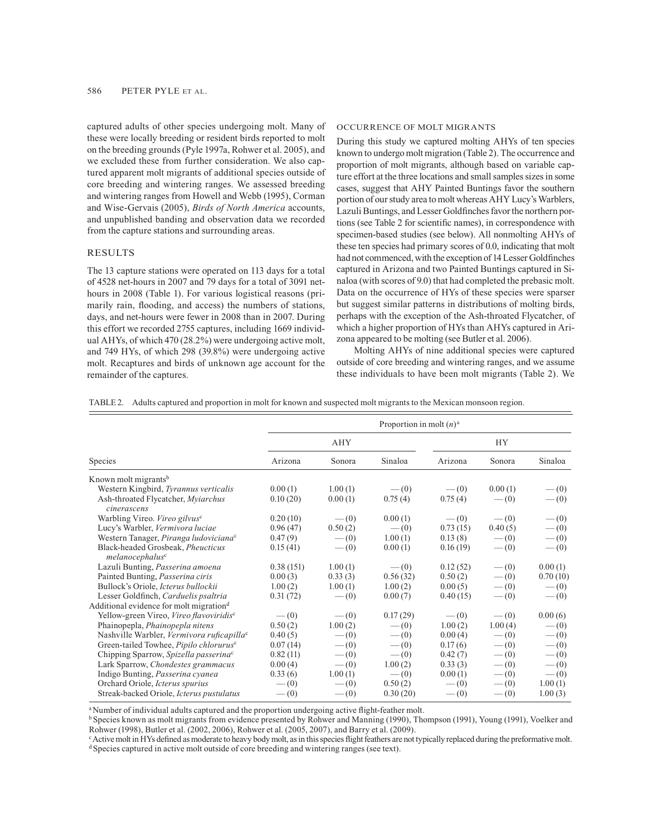captured adults of other species undergoing molt. Many of these were locally breeding or resident birds reported to molt on the breeding grounds (Pyle 1997a, Rohwer et al. 2005), and we excluded these from further consideration. We also captured apparent molt migrants of additional species outside of core breeding and wintering ranges. We assessed breeding and wintering ranges from Howell and Webb (1995), Corman and Wise-Gervais (2005), *Birds of North America* accounts, and unpublished banding and observation data we recorded from the capture stations and surrounding areas.

# RESULTS

The 13 capture stations were operated on 113 days for a total of 4528 net-hours in 2007 and 79 days for a total of 3091 nethours in 2008 (Table 1). For various logistical reasons (primarily rain, flooding, and access) the numbers of stations, days, and net-hours were fewer in 2008 than in 2007. During this effort we recorded 2755 captures, including 1669 individual AHYs, of which 470 (28.2%) were undergoing active molt, and 749 HYs, of which 298 (39.8%) were undergoing active molt. Recaptures and birds of unknown age account for the remainder of the captures.

# OCCURRENCE OF MOLT MIGRANTS

During this study we captured molting AHYs of ten species known to undergo molt migration (Table 2). The occurrence and proportion of molt migrants, although based on variable capture effort at the three locations and small samples sizes in some cases, suggest that AHY Painted Buntings favor the southern portion of our study area to molt whereas AHY Lucy's Warblers, Lazuli Buntings, and Lesser Goldfinches favor the northern portions (see Table 2 for scientific names), in correspondence with specimen-based studies (see below). All nonmolting AHYs of these ten species had primary scores of 0.0, indicating that molt had not commenced, with the exception of 14 Lesser Goldfinches captured in Arizona and two Painted Buntings captured in Sinaloa (with scores of 9.0) that had completed the prebasic molt. Data on the occurrence of HYs of these species were sparser but suggest similar patterns in distributions of molting birds, perhaps with the exception of the Ash-throated Flycatcher, of which a higher proportion of HYs than AHYs captured in Arizona appeared to be molting (see Butler et al. 2006).

Molting AHYs of nine additional species were captured outside of core breeding and wintering ranges, and we assume these individuals to have been molt migrants (Table 2). We

TABLE 2. Adults captured and proportion in molt for known and suspected molt migrants to the Mexican monsoon region.

|                                                                  | Proportion in molt $(n)^a$ |            |          |          |           |          |
|------------------------------------------------------------------|----------------------------|------------|----------|----------|-----------|----------|
|                                                                  |                            | <b>AHY</b> |          |          | <b>HY</b> |          |
| <b>Species</b>                                                   | Arizona                    | Sonora     | Sinaloa  | Arizona  | Sonora    | Sinaloa  |
| Known molt migrants <sup>b</sup>                                 |                            |            |          |          |           |          |
| Western Kingbird, Tyrannus verticalis                            | 0.00(1)                    | 1.00(1)    | $- (0)$  | $- (0)$  | 0.00(1)   | $- (0)$  |
| Ash-throated Flycatcher, Myiarchus<br>cinerascens                | 0.10(20)                   | 0.00(1)    | 0.75(4)  | 0.75(4)  | $- (0)$   | $- (0)$  |
| Warbling Vireo. Vireo gilvus <sup>c</sup>                        | 0.20(10)                   | $- (0)$    | 0.00(1)  | $-$ (0)  | $-$ (0)   | $-$ (0)  |
| Lucy's Warbler, Vermivora luciae                                 | 0.96(47)                   | 0.50(2)    | $-$ (0)  | 0.73(15) | 0.40(5)   | $-$ (0)  |
| Western Tanager, Piranga ludoviciana <sup>c</sup>                | 0.47(9)                    | $-$ (0)    | 1.00(1)  | 0.13(8)  | $- (0)$   | $- (0)$  |
| Black-headed Grosbeak, Pheucticus<br>melanocephalus <sup>c</sup> | 0.15(41)                   | $-$ (0)    | 0.00(1)  | 0.16(19) | $-$ (0)   | $- (0)$  |
| Lazuli Bunting, Passerina amoena                                 | 0.38(151)                  | 1.00(1)    | $-$ (0)  | 0.12(52) | $-$ (0)   | 0.00(1)  |
| Painted Bunting, Passerina ciris                                 | 0.00(3)                    | 0.33(3)    | 0.56(32) | 0.50(2)  | $-$ (0)   | 0.70(10) |
| Bullock's Oriole, Icterus bullockii                              | 1.00(2)                    | 1.00(1)    | 1.00(2)  | 0.00(5)  | $- (0)$   | $- (0)$  |
| Lesser Goldfinch, Carduelis psaltria                             | 0.31(72)                   | $-$ (0)    | 0.00(7)  | 0.40(15) | $- (0)$   | $- (0)$  |
| Additional evidence for molt migration <sup>d</sup>              |                            |            |          |          |           |          |
| Yellow-green Vireo, Vireo flavoviridis <sup>c</sup>              | $- (0)$                    | $-$ (0)    | 0.17(29) | $-$ (0)  | $-$ (0)   | 0.00(6)  |
| Phainopepla, Phainopepla nitens                                  | 0.50(2)                    | 1.00(2)    | $-$ (0)  | 1.00(2)  | 1.00(4)   | $-$ (0)  |
| Nashville Warbler, Vermivora ruficapilla <sup>c</sup>            | 0.40(5)                    | $-$ (0)    | $-$ (0)  | 0.00(4)  | $-$ (0)   | $-$ (0)  |
| Green-tailed Towhee, Pipilo chlorurus <sup>c</sup>               | 0.07(14)                   | $-$ (0)    | $-$ (0)  | 0.17(6)  | $- (0)$   | $- (0)$  |
| Chipping Sparrow, Spizella passerina <sup>c</sup>                | 0.82(11)                   | $-$ (0)    | $-$ (0)  | 0.42(7)  | $-$ (0)   | $-$ (0)  |
| Lark Sparrow, Chondestes grammacus                               | 0.00(4)                    | $-$ (0)    | 1.00(2)  | 0.33(3)  | $- (0)$   | $- (0)$  |
| Indigo Bunting, Passerina cyanea                                 | 0.33(6)                    | 1.00(1)    | $-$ (0)  | 0.00(1)  | $-$ (0)   | $-$ (0)  |
| Orchard Oriole, Icterus spurius                                  | $- (0)$                    | $-$ (0)    | 0.50(2)  | $- (0)$  | $-$ (0)   | 1.00(1)  |
| Streak-backed Oriole, Icterus pustulatus                         | $- (0)$                    | $-$ (0)    | 0.30(20) | $-$ (0)  | $-$ (0)   | 1.00(3)  |

<sup>a</sup>Number of individual adults captured and the proportion undergoing active flight-feather molt.

<sup>b</sup> Species known as molt migrants from evidence presented by Rohwer and Manning (1990), Thompson (1991), Young (1991), Voelker and Rohwer (1998), Butler et al. (2002, 2006), Rohwer et al. (2005, 2007), and Barry et al. (2009).

<sup>c</sup> Active molt in HYs defined as moderate to heavy body molt, as in this species flight feathers are not typically replaced during the preformative molt. <sup>d</sup>Species captured in active molt outside of core breeding and wintering ranges (see text).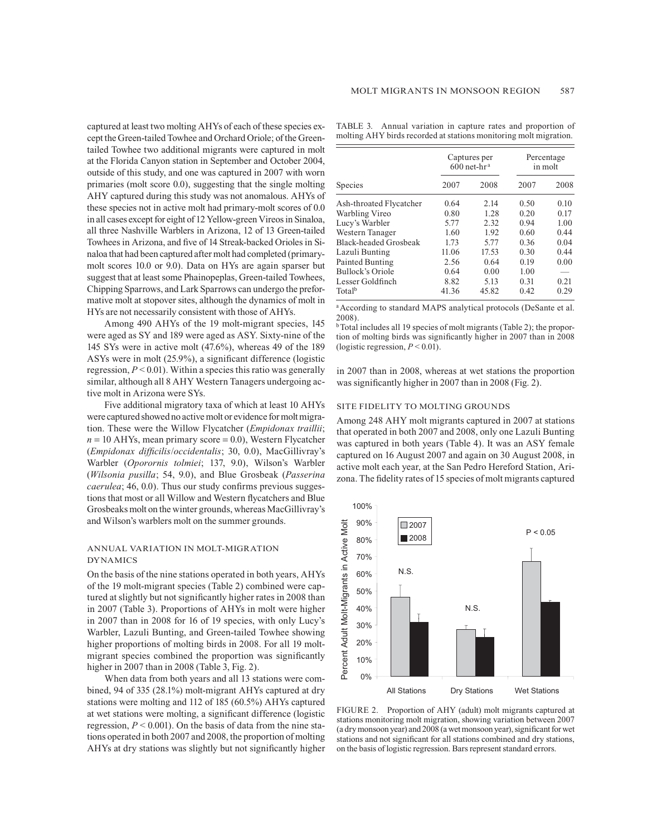captured at least two molting AHYs of each of these species except the Green-tailed Towhee and Orchard Oriole; of the Greentailed Towhee two additional migrants were captured in molt at the Florida Canyon station in September and October 2004, outside of this study, and one was captured in 2007 with worn primaries (molt score 0.0), suggesting that the single molting AHY captured during this study was not anomalous. AHYs of these species not in active molt had primary-molt scores of 0.0 in all cases except for eight of 12 Yellow-green Vireos in Sinaloa, all three Nashville Warblers in Arizona, 12 of 13 Green-tailed Towhees in Arizona, and five of 14 Streak-backed Orioles in Sinaloa that had been captured after molt had completed (primarymolt scores 10.0 or 9.0). Data on HYs are again sparser but suggest that at least some Phainopeplas, Green-tailed Towhees, Chipping Sparrows, and Lark Sparrows can undergo the preformative molt at stopover sites, although the dynamics of molt in HYs are not necessarily consistent with those of AHYs.

Among 490 AHYs of the 19 molt-migrant species, 145 were aged as SY and 189 were aged as ASY. Sixty-nine of the 145 SYs were in active molt (47.6%), whereas 49 of the 189 ASYs were in molt (25.9%), a significant difference (logistic regression,  $P < 0.01$ ). Within a species this ratio was generally similar, although all 8 AHY Western Tanagers undergoing active molt in Arizona were SYs.

Five additional migratory taxa of which at least 10 AHYs were captured showed no active molt or evidence for molt migration. These were the Willow Flycatcher (*Empidonax traillii*;  $n = 10$  AHYs, mean primary score  $= 0.0$ ), Western Flycatcher (*Empidonax difficilis*/*occidentalis*; 30, 0.0), MacGillivray's Warbler (*Oporornis tolmiei*; 137, 9.0), Wilson's Warbler (*Wilsonia pusilla*; 54, 9.0), and Blue Grosbeak (*Passerina caerulea*; 46, 0.0). Thus our study confirms previous suggestions that most or all Willow and Western flycatchers and Blue Grosbeaks molt on the winter grounds, whereas Mac Gillivray's and Wilson's warblers molt on the summer grounds.

# ANNUAL VARIATION IN MOLT-MIGRATION DYNAMICS

On the basis of the nine stations operated in both years, AHYs of the 19 molt-migrant species (Table 2) combined were captured at slightly but not significantly higher rates in 2008 than in 2007 (Table 3). Proportions of AHYs in molt were higher in 2007 than in 2008 for 16 of 19 species, with only Lucy's Warbler, Lazuli Bunting, and Green-tailed Towhee showing higher proportions of molting birds in 2008. For all 19 moltmigrant species combined the proportion was significantly higher in 2007 than in 2008 (Table 3, Fig. 2).

When data from both years and all 13 stations were combined, 94 of 335 (28.1%) molt-migrant AHYs captured at dry stations were molting and 112 of 185 (60.5%) AHYs captured at wet stations were molting, a significant difference (logistic regression,  $P \le 0.001$ ). On the basis of data from the nine stations operated in both 2007 and 2008, the proportion of molting AHYs at dry stations was slightly but not significantly higher

TABLE 3. Annual variation in capture rates and proportion of molting AHY birds recorded at stations monitoring molt migration.

|                         |       | Captures per<br>$600$ net-hr <sup>a</sup> | Percentage<br>in molt |      |
|-------------------------|-------|-------------------------------------------|-----------------------|------|
| <b>Species</b>          | 2007  | 2008                                      | 2007                  | 2008 |
| Ash-throated Flycatcher | 0.64  | 2.14                                      | 0.50                  | 0.10 |
| Warbling Vireo          | 0.80  | 1.28                                      | 0.20                  | 0.17 |
| Lucy's Warbler          | 5.77  | 2.32                                      | 0.94                  | 1.00 |
| Western Tanager         | 1.60  | 1.92                                      | 0.60                  | 0.44 |
| Black-headed Grosbeak   | 1.73  | 5.77                                      | 0.36                  | 0.04 |
| Lazuli Bunting          | 11.06 | 17.53                                     | 0.30                  | 0.44 |
| Painted Bunting         | 2.56  | 0.64                                      | 0.19                  | 0.00 |
| Bullock's Oriole        | 0.64  | 0.00                                      | 1.00                  |      |
| Lesser Goldfinch        | 8.82  | 5.13                                      | 0.31                  | 0.21 |
| Total <sup>b</sup>      | 41.36 | 45.82                                     | 0.42                  | 0.29 |

<sup>a</sup> According to standard MAPS analytical protocols (DeSante et al. 2008).

bTotal includes all 19 species of molt migrants (Table 2); the proportion of molting birds was significantly higher in 2007 than in 2008 (logistic regression, *P* < 0.01).

in 2007 than in 2008, whereas at wet stations the proportion was significantly higher in 2007 than in 2008 (Fig. 2).

### SITE FIDELITY TO MOLTING GROUNDS

Among 248 AHY molt migrants captured in 2007 at stations that operated in both 2007 and 2008, only one Lazuli Bunting was captured in both years (Table 4). It was an ASY female captured on 16 August 2007 and again on 30 August 2008, in active molt each year, at the San Pedro Hereford Station, Arizona. The fidelity rates of 15 species of molt migrants captured



FIGURE 2. Proportion of AHY (adult) molt migrants captured at stations monitoring molt migration, showing variation between 2007 (a dry monsoon year) and 2008 (a wet monsoon year), significant for wet stations and not significant for all stations combined and dry stations, on the basis of logistic regression. Bars represent standard errors.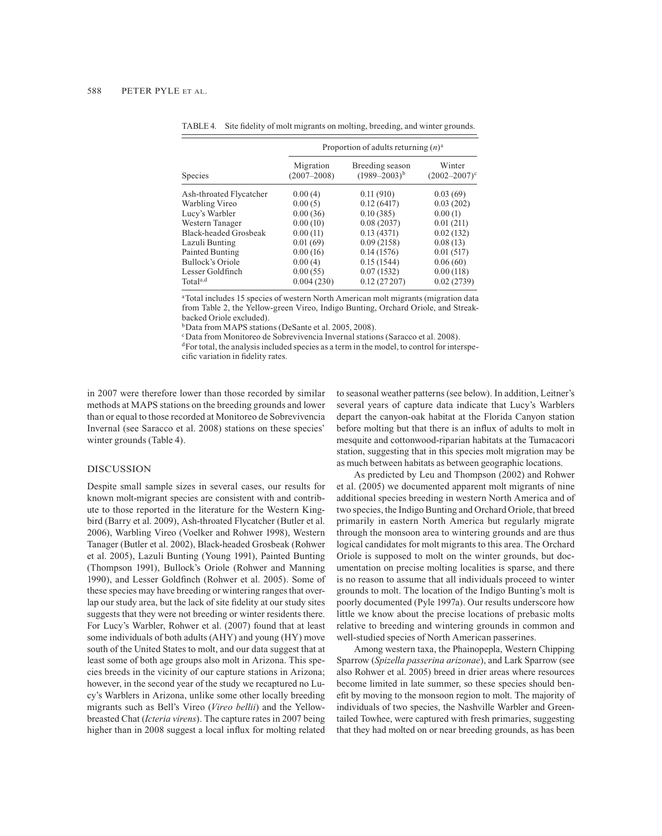|                         | Proportion of adults returning $(n)^a$ |                                        |                                        |  |  |
|-------------------------|----------------------------------------|----------------------------------------|----------------------------------------|--|--|
| Species                 | Migration<br>$(2007 - 2008)$           | Breeding season<br>$(1989 - 2003)^{b}$ | Winter<br>$(2002 - 2007)$ <sup>c</sup> |  |  |
| Ash-throated Flycatcher | 0.00(4)                                | 0.11(910)                              | 0.03(69)                               |  |  |
| Warbling Vireo          | 0.00(5)                                | 0.12(6417)                             | 0.03(202)                              |  |  |
| Lucy's Warbler          | 0.00(36)                               | 0.10(385)                              | 0.00(1)                                |  |  |
| Western Tanager         | 0.00(10)                               | 0.08(2037)                             | 0.01(211)                              |  |  |
| Black-headed Grosbeak   | 0.00(11)                               | 0.13(4371)                             | 0.02(132)                              |  |  |
| Lazuli Bunting          | 0.01(69)                               | 0.09(2158)                             | 0.08(13)                               |  |  |
| Painted Bunting         | 0.00(16)                               | 0.14(1576)                             | 0.01(517)                              |  |  |
| Bullock's Oriole        | 0.00(4)                                | 0.15(1544)                             | 0.06(60)                               |  |  |
| Lesser Goldfinch        | 0.00(55)                               | 0.07(1532)                             | 0.00(118)                              |  |  |
| Total <sup>a,d</sup>    | 0.004(230)                             | 0.12(27207)                            | 0.02(2739)                             |  |  |

TABLE 4. Site fidelity of molt migrants on molting, breeding, and winter grounds.

aTotal includes 15 species of western North American molt migrants (migration data from Table 2, the Yellow-green Vireo, Indigo Bunting, Orchard Oriole, and Streakbacked Oriole excluded).

bData from MAPS stations (DeSante et al. 2005, 2008).

c Data from Monitoreo de Sobrevivencia Invernal stations (Saracco et al. 2008).

dFor total, the analysis included species as a term in the model, to control for interspecific variation in fidelity rates.

in 2007 were therefore lower than those recorded by similar methods at MAPS stations on the breeding grounds and lower than or equal to those recorded at Monitoreo de Sobrevivencia Invernal (see Saracco et al. 2008) stations on these species' winter grounds (Table 4).

# DISCUSSION

Despite small sample sizes in several cases, our results for known molt-migrant species are consistent with and contribute to those reported in the literature for the Western Kingbird (Barry et al. 2009), Ash-throated Flycatcher (Butler et al. 2006), Warbling Vireo (Voelker and Rohwer 1998), Western Tanager (Butler et al. 2002), Black-headed Grosbeak (Rohwer et al. 2005), Lazuli Bunting (Young 1991), Painted Bunting (Thompson 1991), Bullock's Oriole (Rohwer and Manning 1990), and Lesser Goldfinch (Rohwer et al. 2005). Some of these species may have breeding or wintering ranges that overlap our study area, but the lack of site fidelity at our study sites suggests that they were not breeding or winter residents there. For Lucy's Warbler, Rohwer et al. (2007) found that at least some individuals of both adults (AHY) and young (HY) move south of the United States to molt, and our data suggest that at least some of both age groups also molt in Arizona. This species breeds in the vicinity of our capture stations in Arizona; however, in the second year of the study we recaptured no Lucy's Warblers in Arizona, unlike some other locally breeding migrants such as Bell's Vireo (*Vireo bellii*) and the Yellowbreasted Chat (*Icteria virens*). The capture rates in 2007 being higher than in 2008 suggest a local influx for molting related

to seasonal weather patterns (see below). In addition, Leitner's several years of capture data indicate that Lucy's Warblers depart the canyon-oak habitat at the Florida Canyon station before molting but that there is an influx of adults to molt in mesquite and cottonwood-riparian habitats at the Tumacacori station, suggesting that in this species molt migration may be as much between habitats as between geographic locations.

As predicted by Leu and Thompson (2002) and Rohwer et al. (2005) we documented apparent molt migrants of nine additional species breeding in western North America and of two species, the Indigo Bunting and Orchard Oriole, that breed primarily in eastern North America but regularly migrate through the monsoon area to wintering grounds and are thus logical candidates for molt migrants to this area. The Orchard Oriole is supposed to molt on the winter grounds, but documentation on precise molting localities is sparse, and there is no reason to assume that all individuals proceed to winter grounds to molt. The location of the Indigo Bunting's molt is poorly documented (Pyle 1997a). Our results underscore how little we know about the precise locations of prebasic molts relative to breeding and wintering grounds in common and well-studied species of North American passerines.

Among western taxa, the Phainopepla, Western Chipping Sparrow (*Spizella passerina arizonae*), and Lark Sparrow (see also Rohwer et al. 2005) breed in drier areas where resources become limited in late summer, so these species should benefit by moving to the monsoon region to molt. The majority of individuals of two species, the Nashville Warbler and Greentailed Towhee, were captured with fresh primaries, suggesting that they had molted on or near breeding grounds, as has been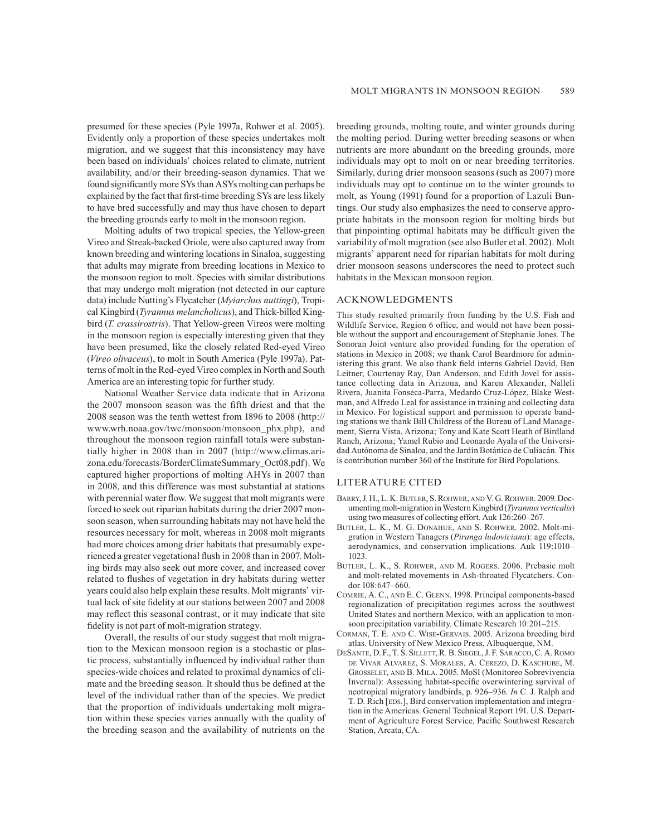presumed for these species (Pyle 1997a, Rohwer et al. 2005). Evidently only a proportion of these species undertakes molt migration, and we suggest that this inconsistency may have been based on individuals' choices related to climate, nutrient availability, and/or their breeding-season dynamics. That we found significantly more SYs than ASYs molting can perhaps be explained by the fact that first-time breeding SYs are less likely to have bred successfully and may thus have chosen to depart the breeding grounds early to molt in the monsoon region.

Molting adults of two tropical species, the Yellow-green Vireo and Streak-backed Oriole, were also captured away from known breeding and wintering locations in Sinaloa, suggesting that adults may migrate from breeding locations in Mexico to the monsoon region to molt. Species with similar distributions that may undergo molt migration (not detected in our capture data) include Nutting's Flycatcher (*Myiarchus nuttingi*), Tropical Kingbird (*Tyrannus melancholicus*), and Thick-billed Kingbird (*T. crassirostris*). That Yellow-green Vireos were molting in the monsoon region is especially interesting given that they have been presumed, like the closely related Red-eyed Vireo (*Vireo olivaceus*), to molt in South America (Pyle 1997a). Patterns of molt in the Red-eyed Vireo complex in North and South America are an interesting topic for further study.

National Weather Service data indicate that in Arizona the 2007 monsoon season was the fifth driest and that the 2008 season was the tenth wettest from 1896 to 2008 (http:// www.wrh.noaa.gov/twc/monsoon/monsoon\_phx.php), and throughout the monsoon region rainfall totals were substantially higher in 2008 than in 2007 (http://www.climas.arizona.edu/forecasts/BorderClimateSummary\_Oct08.pdf). We captured higher proportions of molting AHYs in 2007 than in 2008, and this difference was most substantial at stations with perennial water flow. We suggest that molt migrants were forced to seek out riparian habitats during the drier 2007 monsoon season, when surrounding habitats may not have held the resources necessary for molt, whereas in 2008 molt migrants had more choices among drier habitats that presumably experienced a greater vegetational flush in 2008 than in 2007. Molting birds may also seek out more cover, and increased cover related to flushes of vegetation in dry habitats during wetter years could also help explain these results. Molt migrants' virtual lack of site fidelity at our stations between 2007 and 2008 may reflect this seasonal contrast, or it may indicate that site fidelity is not part of molt-migration strategy.

Overall, the results of our study suggest that molt migration to the Mexican monsoon region is a stochastic or plastic process, substantially influenced by individual rather than species-wide choices and related to proximal dynamics of climate and the breeding season. It should thus be defined at the level of the individual rather than of the species. We predict that the proportion of individuals undertaking molt migration within these species varies annually with the quality of the breeding season and the availability of nutrients on the breeding grounds, molting route, and winter grounds during the molting period. During wetter breeding seasons or when nutrients are more abundant on the breeding grounds, more individuals may opt to molt on or near breeding territories. Similarly, during drier monsoon seasons (such as 2007) more individuals may opt to continue on to the winter grounds to molt, as Young (1991) found for a proportion of Lazuli Buntings. Our study also emphasizes the need to conserve appropriate habitats in the monsoon region for molting birds but that pinpointing optimal habitats may be difficult given the variability of molt migration (see also Butler et al. 2002). Molt migrants' apparent need for riparian habitats for molt during drier monsoon seasons underscores the need to protect such habitats in the Mexican monsoon region.

# ACKNOWLEDGMENTS

This study resulted primarily from funding by the U.S. Fish and Wildlife Service, Region 6 office, and would not have been possible without the support and encouragement of Stephanie Jones. The Sonoran Joint venture also provided funding for the operation of stations in Mexico in 2008; we thank Carol Beardmore for administering this grant. We also thank field interns Gabriel David, Ben Leitner, Courtenay Ray, Dan Anderson, and Edith Jovel for assistance collecting data in Arizona, and Karen Alexander, Nalleli Rivera, Juanita Fonseca-Parra, Medardo Cruz-López, Blake Westman, and Alfredo Leal for assistance in training and collecting data in Mexico. For logistical support and permission to operate banding stations we thank Bill Childress of the Bureau of Land Management, Sierra Vista, Arizona; Tony and Kate Scott Heath of Birdland Ranch, Arizona; Yamel Rubio and Leonardo Ayala of the Universidad Autónoma de Sinaloa, and the Jardín Botánico de Culiacán. This is contribution number 360 of the Institute for Bird Populations.

#### LITERATURE CITED

- BARRY, J. H., L. K. BUTLER, S. ROHWER, AND V. G. ROHWER. 2009. Documenting molt-migration in Western Kingbird (*Tyrannus verticalis*) using two measures of collecting effort. Auk 126:260–267.
- BUTLER, L. K., M. G. DONAHUE, AND S. ROHWER. 2002. Molt-migration in Western Tanagers (*Piranga ludoviciana*): age effects, aerodynamics, and conservation implications. Auk 119:1010– 1023.
- BUTLER, L. K., S. ROHWER, AND M. ROGERS. 2006. Prebasic molt and molt-related movements in Ash-throated Flycatchers. Condor 108:647–660.
- COMRIE, A. C., AND E. C. GLENN. 1998. Principal components-based regionalization of precipitation regimes across the southwest United States and northern Mexico, with an application to monsoon precipitation variability. Climate Research 10:201–215.
- CORMAN, T. E. AND C. WISE-GERVAIS. 2005. Arizona breeding bird atlas. University of New Mexico Press, Albuquerque, NM.
- DESANTE, D. F., T. S. SILLETT, R. B. SIEGEL, J. F. SARACCO, C. A. ROMO DE VIVAR ALVAREZ, S. MORALES, A. CEREZO, D. KASCHUBE, M. GROSSELET, AND B. MILA. 2005. MoSI (Monitoreo Sobrevivencia Invernal): Assessing habitat-specific overwintering survival of neotropical migratory landbirds, p. 926–936. *In* C. J. Ralph and T. D. Rich [EDS.], Bird conservation implementation and integration in the Americas. General Technical Report 191. U.S. Department of Agriculture Forest Service, Pacific Southwest Research Station, Arcata, CA.